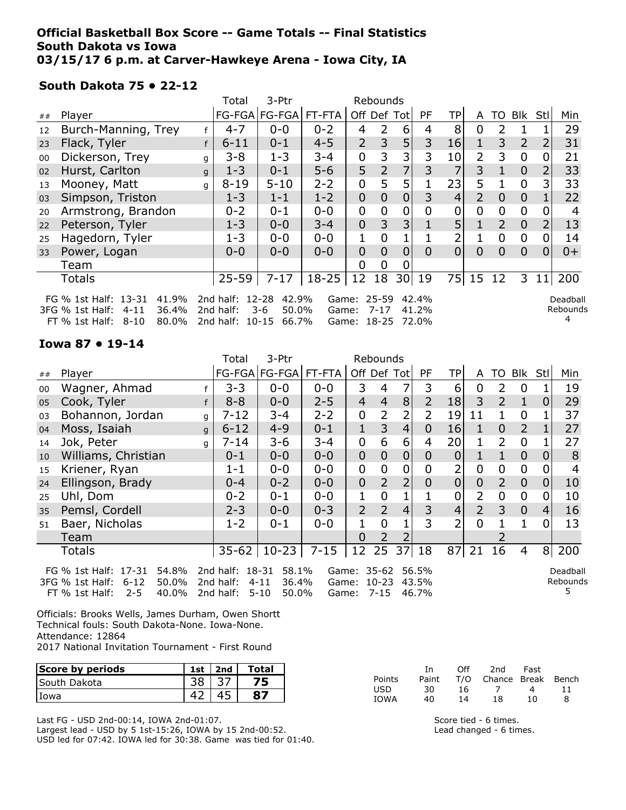### Official Basketball Box Score -- Game Totals -- Final Statistics South Dakota vs Iowa 03/15/17 6 p.m. at Carver-Hawkeye Arena - Iowa City, IA

### South Dakota 75 • 22-12

|    |                                                                                                                 |   | Total                                           | 3-Ptr                            |           |                            | Rebounds       |                |                         |          |                |                |                |                |                           |
|----|-----------------------------------------------------------------------------------------------------------------|---|-------------------------------------------------|----------------------------------|-----------|----------------------------|----------------|----------------|-------------------------|----------|----------------|----------------|----------------|----------------|---------------------------|
| ## | Player                                                                                                          |   |                                                 | FG-FGA FG-FGA                    | FT-FTA    | Off Def Tot                |                |                | PF.                     | ТP       | A              | TO             | Blk            | Stll           | Min                       |
| 12 | Burch-Manning, Trey                                                                                             | f | $4 - 7$                                         | $0 - 0$                          | $0 - 2$   | 4                          | 2              | 6              | 4                       | 8        | 0              | 2              |                |                | 29                        |
| 23 | Flack, Tyler                                                                                                    |   | $6 - 11$                                        | $0 - 1$                          | $4 - 5$   | $\overline{2}$             | 3              | 5              | 3                       | 16       | 1              | 3              | $\overline{2}$ | $\overline{2}$ | 31                        |
| 00 | Dickerson, Trey                                                                                                 | g | $3 - 8$                                         | $1 - 3$                          | $3 - 4$   | 0                          | 3              | 3              | 3                       | 10       | 2              | 3              | 0              |                | 21                        |
| 02 | Hurst, Carlton                                                                                                  | q | $1 - 3$                                         | $0 - 1$                          | $5 - 6$   | 5                          | $\overline{2}$ | 7              | 3                       | 7        | 3              | 1              | $\overline{0}$ |                | 33                        |
| 13 | Mooney, Matt                                                                                                    | q | $8 - 19$                                        | $5 - 10$                         | $2 - 2$   | 0                          | 5              | 5              |                         | 23       | 5              |                | $\overline{0}$ | 3              | 33                        |
| 03 | Simpson, Triston                                                                                                |   | $1 - 3$                                         | $1 - 1$                          | $1 - 2$   | $\overline{0}$             | 0              | $\overline{0}$ | 3                       | 4        | $\overline{2}$ | $\overline{0}$ | $\overline{0}$ |                | 22                        |
| 20 | Armstrong, Brandon                                                                                              |   | $0 - 2$                                         | $0 - 1$                          | $0 - 0$   | 0                          | 0              | 0              | 0                       | 0        | 0              | 0              | $\mathbf 0$    |                |                           |
| 22 | Peterson, Tyler                                                                                                 |   | $1 - 3$                                         | $0 - 0$                          | $3 - 4$   | 0                          | 3              | 3 <sup>1</sup> |                         | 5        | 1              | $\overline{2}$ | $\mathbf 0$    |                | 13                        |
| 25 | Hagedorn, Tyler                                                                                                 |   | $1 - 3$                                         | $0 - 0$                          | $0 - 0$   | 1                          | 0              |                |                         | 2        |                | 0              | 0              | 0              | 14                        |
| 33 | Power, Logan                                                                                                    |   | $0 - 0$                                         | $0 - 0$                          | $0 - 0$   | $\overline{0}$             | $\Omega$       | $\overline{0}$ | $\overline{0}$          | $\Omega$ | $\Omega$       | 0              | $\overline{0}$ | 0              | $0+$                      |
|    | Team                                                                                                            |   |                                                 |                                  |           | 0                          | 0              | 0              |                         |          |                |                |                |                |                           |
|    | <b>Totals</b>                                                                                                   |   | $25 - 59$                                       | $7 - 17$                         | $18 - 25$ | 12                         | 18             |                | 30 19                   | 75       | 15 12          |                | 3              | 11             | 200                       |
|    | FG % 1st Half: 13-31<br>41.9%<br>36.4%<br>3FG % 1st Half:<br>$4 - 11$<br>80.0%<br>$FT \% 1st Half:$<br>$8 - 10$ |   | 2nd half: 12-28<br>2nd half:<br>2nd half: 10-15 | 42.9%<br>$3-6$<br>50.0%<br>66.7% | Game:     | Game: 25-59<br>Game: 18-25 | $7 - 17$       |                | 42.4%<br>41.2%<br>72.0% |          |                |                |                |                | Deadball<br>Rebounds<br>4 |

#### Iowa 87 • 19-14

|    |                                                                                                                                                                                                      |              | Total     | 3-Ptr         |          |                | Rebounds       |                |                |             |                |                |                |     |     |
|----|------------------------------------------------------------------------------------------------------------------------------------------------------------------------------------------------------|--------------|-----------|---------------|----------|----------------|----------------|----------------|----------------|-------------|----------------|----------------|----------------|-----|-----|
| ## | Player                                                                                                                                                                                               |              |           | FG-FGA FG-FGA | FT-FTA   | Off Def Tot    |                |                | <b>PF</b>      | <b>TP</b>   | A              | TO             | <b>Blk</b>     | Stl | Min |
| 00 | Wagner, Ahmad                                                                                                                                                                                        |              | $3 - 3$   | $0 - 0$       | $0 - 0$  | 3              | 4              | 7              | 3              | 6           | 0              | 2              | $\overline{0}$ |     | 19  |
| 05 | Cook, Tyler                                                                                                                                                                                          |              | $8 - 8$   | $0 - 0$       | $2 - 5$  | $\overline{4}$ | $\overline{4}$ | 8              | $\overline{2}$ | 18          | 3              | $\overline{2}$ | $\mathbf{1}$   | 0   | 29  |
| 03 | Bohannon, Jordan                                                                                                                                                                                     | q            | $7 - 12$  | $3 - 4$       | $2 - 2$  | 0              | 2              | 2              | 2              | 19          | 11             |                | $\overline{0}$ |     | 37  |
| 04 | Moss, Isaiah                                                                                                                                                                                         | $\mathsf{q}$ | $6 - 12$  | $4 - 9$       | $0 - 1$  | 1              | 3              | 4              | 0              | 16          | 1              | 0              | $\overline{2}$ |     | 27  |
| 14 | Jok, Peter                                                                                                                                                                                           | q            | $7 - 14$  | $3 - 6$       | $3 - 4$  | 0              | 6              | 6              | 4              | 20          |                | $\overline{2}$ | 0              |     | 27  |
| 10 | Williams, Christian                                                                                                                                                                                  |              | $0 - 1$   | $0 - 0$       | $0 - 0$  | $\overline{0}$ | 0              | 0              | 0              | 0           |                |                | $\theta$       | 0   | 8   |
| 15 | Kriener, Ryan                                                                                                                                                                                        |              | $1 - 1$   | $0-0$         | $0 - 0$  | 0              | 0              | 0              | 0              | 2           | 0              | 0              | $\mathbf 0$    |     |     |
| 24 | Ellingson, Brady                                                                                                                                                                                     |              | $0 - 4$   | $0 - 2$       | $0 - 0$  | $\mathbf 0$    | $\overline{2}$ | $\overline{2}$ | 0              | $\mathbf 0$ | 0              | $\overline{2}$ | $\overline{0}$ | 0   | 10  |
| 25 | Uhl, Dom                                                                                                                                                                                             |              | $0 - 2$   | $0 - 1$       | $0 - 0$  |                | 0              |                |                | 0           | $\overline{2}$ | 0              | $\mathbf 0$    | 0   | 10  |
| 35 | Pemsl, Cordell                                                                                                                                                                                       |              | $2 - 3$   | $0 - 0$       | $0 - 3$  | $\overline{2}$ | $\overline{2}$ | $\overline{4}$ | 3              | 4           | $\overline{2}$ | 3              | $\overline{0}$ | 4   | 16  |
| 51 | Baer, Nicholas                                                                                                                                                                                       |              | $1 - 2$   | $0 - 1$       | $0 - 0$  |                | 0              | 1              | 3              | 2           | $\Omega$       |                | 1              | O.  | 13  |
|    | Team                                                                                                                                                                                                 |              |           |               |          | 0              | $\overline{2}$ | 2              |                |             |                |                |                |     |     |
|    | <b>Totals</b>                                                                                                                                                                                        |              | $35 - 62$ | $10 - 23$     | $7 - 15$ | 12             | 25             | 37             | 18             | 87          | 21             | 16             | 4              | 8   | 200 |
|    | 54.8%<br>2nd half: 18-31<br>58.1%<br>Game: 35-62<br>FG % 1st Half: 17-31<br>56.5%<br>Deadball<br>36.4%<br>50.0%<br>2nd half:<br>$4 - 11$<br>Game: 10-23<br>43.5%<br>Rebounds<br>3FG % 1st Half: 6-12 |              |           |               |          |                |                |                |                |             |                |                |                |     |     |

FT % 1st Half: 2-5 40.0% 2nd half: 5-10 50.0% Game: 7-15 46.7% Officials: Brooks Wells, James Durham, Owen Shortt Technical fouls: South Dakota-None. Iowa-None.

Attendance: 12864

2017 National Invitation Tournament - First Round

| Score by periods    | 1st | 2nd | Total |
|---------------------|-----|-----|-------|
| <b>South Dakota</b> |     |     |       |
| Iowa                |     |     |       |

Last FG - USD 2nd-00:14, IOWA 2nd-01:07.

Largest lead - USD by 5 1st-15:26, IOWA by 15 2nd-00:52. USD led for 07:42. IOWA led for 30:38. Game was tied for 01:40.

|            | Ιn.   | Off. | 2nd                    | Fast |    |
|------------|-------|------|------------------------|------|----|
| Points     | Paint |      | T/O Chance Break Bench |      |    |
| <b>USD</b> | 30    | 16.  |                        | 4    | 11 |
| IOWA       | 40    | 14   | 18                     | 10   | 8  |

5

Score tied - 6 times. Lead changed - 6 times.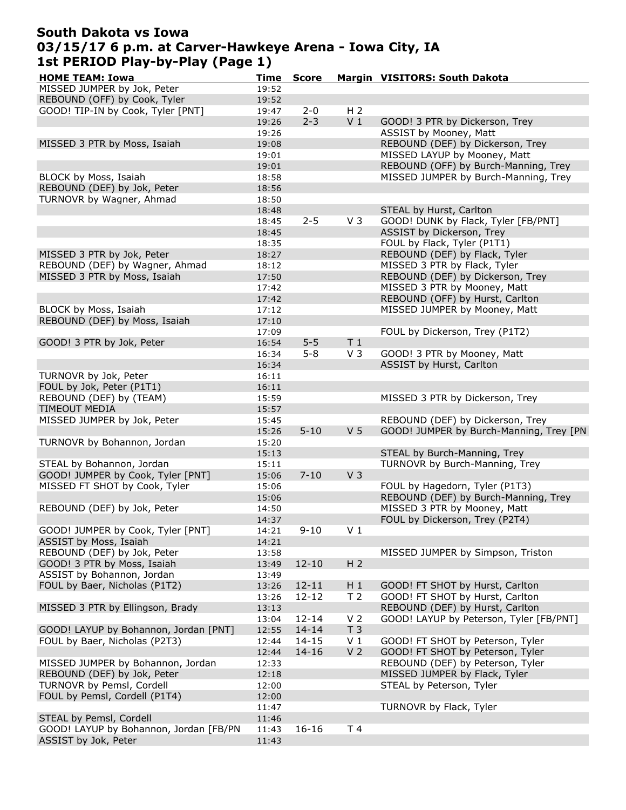# South Dakota vs Iowa 03/15/17 6 p.m. at Carver-Hawkeye Arena - Iowa City, IA 1st PERIOD Play-by-Play (Page 1)

| <b>HOME TEAM: Iowa</b>                 | Time  | <b>Score</b> |                | Margin VISITORS: South Dakota           |
|----------------------------------------|-------|--------------|----------------|-----------------------------------------|
| MISSED JUMPER by Jok, Peter            | 19:52 |              |                |                                         |
| REBOUND (OFF) by Cook, Tyler           | 19:52 |              |                |                                         |
| GOOD! TIP-IN by Cook, Tyler [PNT]      | 19:47 | $2 - 0$      | H <sub>2</sub> |                                         |
|                                        | 19:26 | $2 - 3$      | V <sub>1</sub> | GOOD! 3 PTR by Dickerson, Trey          |
|                                        | 19:26 |              |                | ASSIST by Mooney, Matt                  |
|                                        |       |              |                |                                         |
| MISSED 3 PTR by Moss, Isaiah           | 19:08 |              |                | REBOUND (DEF) by Dickerson, Trey        |
|                                        | 19:01 |              |                | MISSED LAYUP by Mooney, Matt            |
|                                        | 19:01 |              |                | REBOUND (OFF) by Burch-Manning, Trey    |
| BLOCK by Moss, Isaiah                  | 18:58 |              |                | MISSED JUMPER by Burch-Manning, Trey    |
| REBOUND (DEF) by Jok, Peter            | 18:56 |              |                |                                         |
| TURNOVR by Wagner, Ahmad               | 18:50 |              |                |                                         |
|                                        | 18:48 |              |                | STEAL by Hurst, Carlton                 |
|                                        | 18:45 | $2 - 5$      | V <sub>3</sub> | GOOD! DUNK by Flack, Tyler [FB/PNT]     |
|                                        |       |              |                |                                         |
|                                        | 18:45 |              |                | ASSIST by Dickerson, Trey               |
|                                        | 18:35 |              |                | FOUL by Flack, Tyler (P1T1)             |
| MISSED 3 PTR by Jok, Peter             | 18:27 |              |                | REBOUND (DEF) by Flack, Tyler           |
| REBOUND (DEF) by Wagner, Ahmad         | 18:12 |              |                | MISSED 3 PTR by Flack, Tyler            |
| MISSED 3 PTR by Moss, Isaiah           | 17:50 |              |                | REBOUND (DEF) by Dickerson, Trey        |
|                                        | 17:42 |              |                | MISSED 3 PTR by Mooney, Matt            |
|                                        | 17:42 |              |                | REBOUND (OFF) by Hurst, Carlton         |
| BLOCK by Moss, Isaiah                  | 17:12 |              |                | MISSED JUMPER by Mooney, Matt           |
|                                        |       |              |                |                                         |
| REBOUND (DEF) by Moss, Isaiah          | 17:10 |              |                |                                         |
|                                        | 17:09 |              |                | FOUL by Dickerson, Trey (P1T2)          |
| GOOD! 3 PTR by Jok, Peter              | 16:54 | $5 - 5$      | T <sub>1</sub> |                                         |
|                                        | 16:34 | $5 - 8$      | V <sub>3</sub> | GOOD! 3 PTR by Mooney, Matt             |
|                                        | 16:34 |              |                | ASSIST by Hurst, Carlton                |
| TURNOVR by Jok, Peter                  | 16:11 |              |                |                                         |
| FOUL by Jok, Peter (P1T1)              | 16:11 |              |                |                                         |
| REBOUND (DEF) by (TEAM)                | 15:59 |              |                | MISSED 3 PTR by Dickerson, Trey         |
| TIMEOUT MEDIA                          |       |              |                |                                         |
|                                        | 15:57 |              |                |                                         |
| MISSED JUMPER by Jok, Peter            | 15:45 |              |                | REBOUND (DEF) by Dickerson, Trey        |
|                                        | 15:26 | $5 - 10$     | V <sub>5</sub> | GOOD! JUMPER by Burch-Manning, Trey [PN |
| TURNOVR by Bohannon, Jordan            | 15:20 |              |                |                                         |
|                                        | 15:13 |              |                | STEAL by Burch-Manning, Trey            |
| STEAL by Bohannon, Jordan              | 15:11 |              |                | TURNOVR by Burch-Manning, Trey          |
| GOOD! JUMPER by Cook, Tyler [PNT]      | 15:06 | $7 - 10$     | V <sub>3</sub> |                                         |
| MISSED FT SHOT by Cook, Tyler          | 15:06 |              |                | FOUL by Hagedorn, Tyler (P1T3)          |
|                                        | 15:06 |              |                | REBOUND (DEF) by Burch-Manning, Trey    |
| REBOUND (DEF) by Jok, Peter            |       |              |                | MISSED 3 PTR by Mooney, Matt            |
|                                        | 14:50 |              |                |                                         |
|                                        | 14:37 |              |                | FOUL by Dickerson, Trey (P2T4)          |
| GOOD! JUMPER by Cook, Tyler [PNT]      | 14:21 | $9 - 10$     | V <sub>1</sub> |                                         |
| ASSIST by Moss, Isaiah                 | 14:21 |              |                |                                         |
| REBOUND (DEF) by Jok, Peter            | 13:58 |              |                | MISSED JUMPER by Simpson, Triston       |
| GOOD! 3 PTR by Moss, Isaiah            | 13:49 | $12 - 10$    | H <sub>2</sub> |                                         |
| ASSIST by Bohannon, Jordan             | 13:49 |              |                |                                         |
| FOUL by Baer, Nicholas (P1T2)          | 13:26 | $12 - 11$    | $H_1$          | GOOD! FT SHOT by Hurst, Carlton         |
|                                        | 13:26 | $12 - 12$    | T <sub>2</sub> | GOOD! FT SHOT by Hurst, Carlton         |
|                                        |       |              |                |                                         |
| MISSED 3 PTR by Ellingson, Brady       | 13:13 |              |                | REBOUND (DEF) by Hurst, Carlton         |
|                                        | 13:04 | $12 - 14$    | V <sub>2</sub> | GOOD! LAYUP by Peterson, Tyler [FB/PNT] |
| GOOD! LAYUP by Bohannon, Jordan [PNT]  | 12:55 | $14 - 14$    | T <sub>3</sub> |                                         |
| FOUL by Baer, Nicholas (P2T3)          | 12:44 | $14 - 15$    | V <sub>1</sub> | GOOD! FT SHOT by Peterson, Tyler        |
|                                        | 12:44 | $14 - 16$    | V <sub>2</sub> | GOOD! FT SHOT by Peterson, Tyler        |
| MISSED JUMPER by Bohannon, Jordan      | 12:33 |              |                | REBOUND (DEF) by Peterson, Tyler        |
| REBOUND (DEF) by Jok, Peter            | 12:18 |              |                | MISSED JUMPER by Flack, Tyler           |
| TURNOVR by Pemsl, Cordell              | 12:00 |              |                | STEAL by Peterson, Tyler                |
|                                        |       |              |                |                                         |
| FOUL by Pemsl, Cordell (P1T4)          | 12:00 |              |                |                                         |
|                                        | 11:47 |              |                | TURNOVR by Flack, Tyler                 |
| STEAL by Pemsl, Cordell                | 11:46 |              |                |                                         |
| GOOD! LAYUP by Bohannon, Jordan [FB/PN | 11:43 | $16 - 16$    | T 4            |                                         |
| ASSIST by Jok, Peter                   | 11:43 |              |                |                                         |
|                                        |       |              |                |                                         |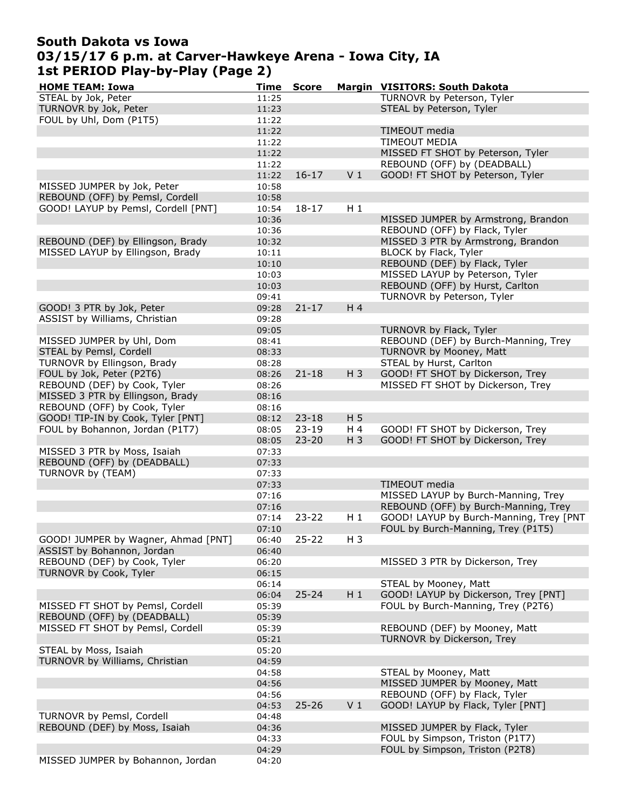# South Dakota vs Iowa 03/15/17 6 p.m. at Carver-Hawkeye Arena - Iowa City, IA 1st PERIOD Play-by-Play (Page 2)

| <b>HOME TEAM: Iowa</b>              | <b>Time</b> | <b>Score</b> |                | Margin VISITORS: South Dakota                          |
|-------------------------------------|-------------|--------------|----------------|--------------------------------------------------------|
| STEAL by Jok, Peter                 | 11:25       |              |                | TURNOVR by Peterson, Tyler                             |
| TURNOVR by Jok, Peter               | 11:23       |              |                | STEAL by Peterson, Tyler                               |
| FOUL by Uhl, Dom (P1T5)             | 11:22       |              |                |                                                        |
|                                     | 11:22       |              |                | TIMEOUT media                                          |
|                                     | 11:22       |              |                | <b>TIMEOUT MEDIA</b>                                   |
|                                     | 11:22       |              |                | MISSED FT SHOT by Peterson, Tyler                      |
|                                     | 11:22       |              |                | REBOUND (OFF) by (DEADBALL)                            |
|                                     | 11:22       | $16 - 17$    | V <sub>1</sub> | GOOD! FT SHOT by Peterson, Tyler                       |
| MISSED JUMPER by Jok, Peter         | 10:58       |              |                |                                                        |
| REBOUND (OFF) by Pemsl, Cordell     | 10:58       |              |                |                                                        |
| GOOD! LAYUP by Pemsl, Cordell [PNT] | 10:54       | $18 - 17$    | $H_1$          |                                                        |
|                                     | 10:36       |              |                | MISSED JUMPER by Armstrong, Brandon                    |
|                                     | 10:36       |              |                | REBOUND (OFF) by Flack, Tyler                          |
| REBOUND (DEF) by Ellingson, Brady   | 10:32       |              |                | MISSED 3 PTR by Armstrong, Brandon                     |
| MISSED LAYUP by Ellingson, Brady    | 10:11       |              |                | BLOCK by Flack, Tyler                                  |
|                                     | 10:10       |              |                | REBOUND (DEF) by Flack, Tyler                          |
|                                     |             |              |                | MISSED LAYUP by Peterson, Tyler                        |
|                                     | 10:03       |              |                |                                                        |
|                                     | 10:03       |              |                | REBOUND (OFF) by Hurst, Carlton                        |
|                                     | 09:41       |              |                | TURNOVR by Peterson, Tyler                             |
| GOOD! 3 PTR by Jok, Peter           | 09:28       | $21 - 17$    | H 4            |                                                        |
| ASSIST by Williams, Christian       | 09:28       |              |                |                                                        |
|                                     | 09:05       |              |                | TURNOVR by Flack, Tyler                                |
| MISSED JUMPER by Uhl, Dom           | 08:41       |              |                | REBOUND (DEF) by Burch-Manning, Trey                   |
| STEAL by Pemsl, Cordell             | 08:33       |              |                | TURNOVR by Mooney, Matt                                |
| TURNOVR by Ellingson, Brady         | 08:28       |              |                | STEAL by Hurst, Carlton                                |
| FOUL by Jok, Peter (P2T6)           | 08:26       | $21 - 18$    | $H_3$          | GOOD! FT SHOT by Dickerson, Trey                       |
| REBOUND (DEF) by Cook, Tyler        | 08:26       |              |                | MISSED FT SHOT by Dickerson, Trey                      |
| MISSED 3 PTR by Ellingson, Brady    | 08:16       |              |                |                                                        |
| REBOUND (OFF) by Cook, Tyler        | 08:16       |              |                |                                                        |
| GOOD! TIP-IN by Cook, Tyler [PNT]   | 08:12       | $23 - 18$    | H 5            |                                                        |
| FOUL by Bohannon, Jordan (P1T7)     | 08:05       | $23 - 19$    | H 4            | GOOD! FT SHOT by Dickerson, Trey                       |
|                                     | 08:05       | $23 - 20$    | $H_3$          | GOOD! FT SHOT by Dickerson, Trey                       |
| MISSED 3 PTR by Moss, Isaiah        | 07:33       |              |                |                                                        |
| REBOUND (OFF) by (DEADBALL)         | 07:33       |              |                |                                                        |
| TURNOVR by (TEAM)                   | 07:33       |              |                |                                                        |
|                                     | 07:33       |              |                | TIMEOUT media                                          |
|                                     | 07:16       |              |                | MISSED LAYUP by Burch-Manning, Trey                    |
|                                     | 07:16       |              |                | REBOUND (OFF) by Burch-Manning, Trey                   |
|                                     | 07:14       | $23 - 22$    | $H_1$          | GOOD! LAYUP by Burch-Manning, Trey [PNT                |
|                                     | 07:10       |              |                | FOUL by Burch-Manning, Trey (P1T5)                     |
| GOOD! JUMPER by Wagner, Ahmad [PNT] | 06:40       | $25 - 22$    | H <sub>3</sub> |                                                        |
| ASSIST by Bohannon, Jordan          | 06:40       |              |                |                                                        |
| REBOUND (DEF) by Cook, Tyler        | 06:20       |              |                | MISSED 3 PTR by Dickerson, Trey                        |
| TURNOVR by Cook, Tyler              | 06:15       |              |                |                                                        |
|                                     | 06:14       |              |                | STEAL by Mooney, Matt                                  |
|                                     | 06:04       | $25 - 24$    | $H_1$          | GOOD! LAYUP by Dickerson, Trey [PNT]                   |
| MISSED FT SHOT by Pemsl, Cordell    | 05:39       |              |                | FOUL by Burch-Manning, Trey (P2T6)                     |
| REBOUND (OFF) by (DEADBALL)         | 05:39       |              |                |                                                        |
| MISSED FT SHOT by Pemsl, Cordell    | 05:39       |              |                | REBOUND (DEF) by Mooney, Matt                          |
|                                     | 05:21       |              |                | TURNOVR by Dickerson, Trey                             |
| STEAL by Moss, Isaiah               | 05:20       |              |                |                                                        |
| TURNOVR by Williams, Christian      |             |              |                |                                                        |
|                                     | 04:59       |              |                |                                                        |
|                                     | 04:58       |              |                | STEAL by Mooney, Matt<br>MISSED JUMPER by Mooney, Matt |
|                                     | 04:56       |              |                |                                                        |
|                                     | 04:56       |              |                | REBOUND (OFF) by Flack, Tyler                          |
|                                     | 04:53       | $25 - 26$    | V <sub>1</sub> | GOOD! LAYUP by Flack, Tyler [PNT]                      |
| TURNOVR by Pemsl, Cordell           | 04:48       |              |                |                                                        |
| REBOUND (DEF) by Moss, Isaiah       | 04:36       |              |                | MISSED JUMPER by Flack, Tyler                          |
|                                     | 04:33       |              |                | FOUL by Simpson, Triston (P1T7)                        |
|                                     | 04:29       |              |                | FOUL by Simpson, Triston (P2T8)                        |
| MISSED JUMPER by Bohannon, Jordan   | 04:20       |              |                |                                                        |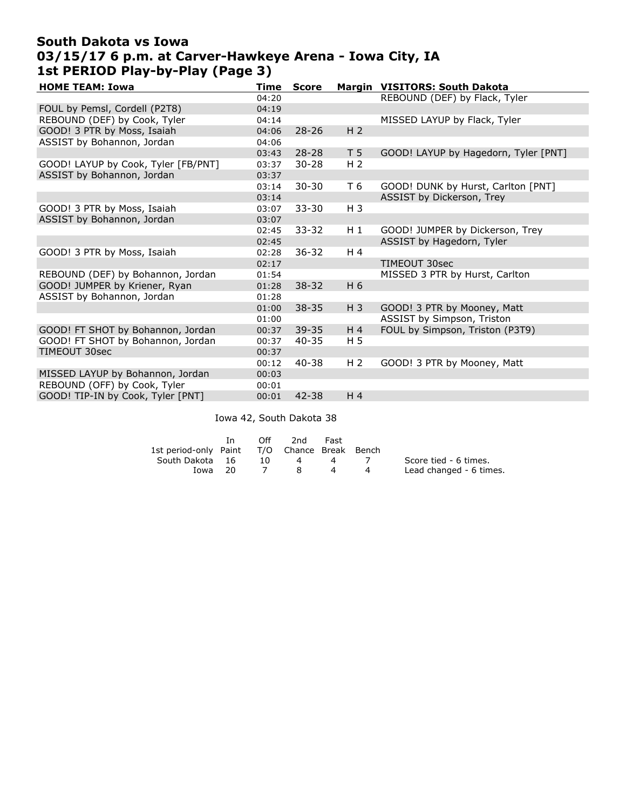## South Dakota vs Iowa 03/15/17 6 p.m. at Carver-Hawkeye Arena - Iowa City, IA 1st PERIOD Play-by-Play (Page 3)

| <b>HOME TEAM: Iowa</b>              | Time  | <b>Score</b> |                | Margin VISITORS: South Dakota        |
|-------------------------------------|-------|--------------|----------------|--------------------------------------|
|                                     | 04:20 |              |                | REBOUND (DEF) by Flack, Tyler        |
| FOUL by Pemsl, Cordell (P2T8)       | 04:19 |              |                |                                      |
| REBOUND (DEF) by Cook, Tyler        | 04:14 |              |                | MISSED LAYUP by Flack, Tyler         |
| GOOD! 3 PTR by Moss, Isaiah         | 04:06 | $28 - 26$    | H <sub>2</sub> |                                      |
| ASSIST by Bohannon, Jordan          | 04:06 |              |                |                                      |
|                                     | 03:43 | $28 - 28$    | T <sub>5</sub> | GOOD! LAYUP by Hagedorn, Tyler [PNT] |
| GOOD! LAYUP by Cook, Tyler [FB/PNT] | 03:37 | $30 - 28$    | H <sub>2</sub> |                                      |
| ASSIST by Bohannon, Jordan          | 03:37 |              |                |                                      |
|                                     | 03:14 | $30 - 30$    | T 6            | GOOD! DUNK by Hurst, Carlton [PNT]   |
|                                     | 03:14 |              |                | ASSIST by Dickerson, Trey            |
| GOOD! 3 PTR by Moss, Isaiah         | 03:07 | $33 - 30$    | $H_3$          |                                      |
| ASSIST by Bohannon, Jordan          | 03:07 |              |                |                                      |
|                                     | 02:45 | $33 - 32$    | $H_1$          | GOOD! JUMPER by Dickerson, Trey      |
|                                     | 02:45 |              |                | ASSIST by Hagedorn, Tyler            |
| GOOD! 3 PTR by Moss, Isaiah         | 02:28 | $36 - 32$    | H 4            |                                      |
|                                     | 02:17 |              |                | TIMEOUT 30sec                        |
| REBOUND (DEF) by Bohannon, Jordan   | 01:54 |              |                | MISSED 3 PTR by Hurst, Carlton       |
| GOOD! JUMPER by Kriener, Ryan       | 01:28 | $38 - 32$    | H 6            |                                      |
| ASSIST by Bohannon, Jordan          | 01:28 |              |                |                                      |
|                                     | 01:00 | $38 - 35$    | $H_3$          | GOOD! 3 PTR by Mooney, Matt          |
|                                     | 01:00 |              |                | ASSIST by Simpson, Triston           |
| GOOD! FT SHOT by Bohannon, Jordan   | 00:37 | $39 - 35$    | H <sub>4</sub> | FOUL by Simpson, Triston (P3T9)      |
| GOOD! FT SHOT by Bohannon, Jordan   | 00:37 | $40 - 35$    | H <sub>5</sub> |                                      |
| TIMEOUT 30sec                       | 00:37 |              |                |                                      |
|                                     | 00:12 | $40 - 38$    | H <sub>2</sub> | GOOD! 3 PTR by Mooney, Matt          |
| MISSED LAYUP by Bohannon, Jordan    | 00:03 |              |                |                                      |
| REBOUND (OFF) by Cook, Tyler        | 00:01 |              |                |                                      |
| GOOD! TIP-IN by Cook, Tyler [PNT]   | 00:01 | $42 - 38$    | H <sub>4</sub> |                                      |
|                                     |       |              |                |                                      |

Iowa 42, South Dakota 38

|                       | In. | Off | 2nd.                   | Fast |                         |
|-----------------------|-----|-----|------------------------|------|-------------------------|
| 1st period-only Paint |     |     | T/O Chance Break Bench |      |                         |
| South Dakota 16       |     | 10  | 4                      |      | Score tied - 6 times.   |
| Iowa 20               |     |     | -8                     |      | Lead changed - 6 times. |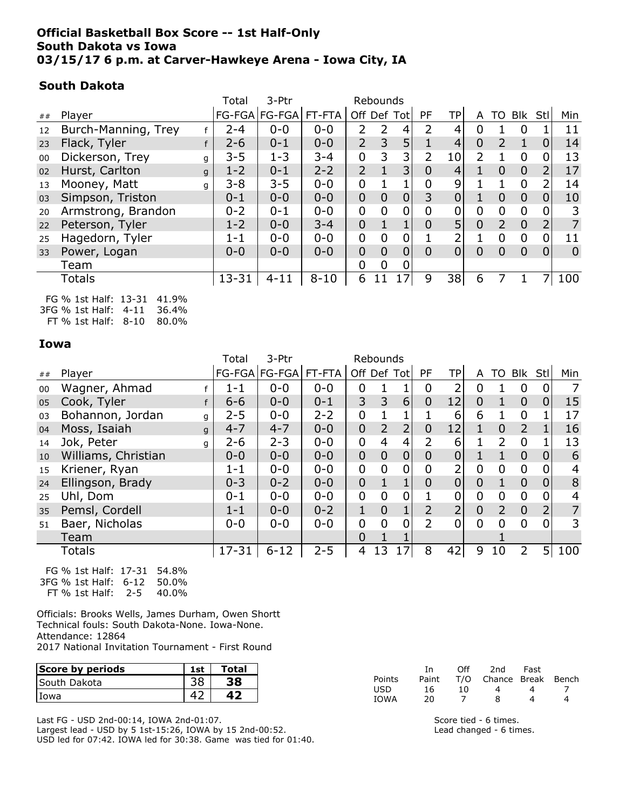### Official Basketball Box Score -- 1st Half-Only South Dakota vs Iowa 03/15/17 6 p.m. at Carver-Hawkeye Arena - Iowa City, IA

### South Dakota

|    |                      | Total     | 3-Ptr                |          |                | Rebounds       |                |                |                 |                |                |                |                |                |
|----|----------------------|-----------|----------------------|----------|----------------|----------------|----------------|----------------|-----------------|----------------|----------------|----------------|----------------|----------------|
| ## | Player               |           | FG-FGA FG-FGA FT-FTA |          |                |                | Off Def Tot    | <b>PF</b>      | TPI             | A              | TO             | Blk            | Stl            | Min            |
| 12 | Burch-Manning, Trey  | 2-4       | $0 - 0$              | $0 - 0$  | 2              | $\overline{2}$ | 4              | $\overline{2}$ | 4               | 0              |                | 0              |                | 11             |
| 23 | Flack, Tyler         | $2 - 6$   | $0 - 1$              | $0 - 0$  | $\overline{2}$ | 3              | 5              |                | $\overline{4}$  | $\overline{0}$ | 2              |                | $\overline{0}$ | 14             |
| 00 | Dickerson, Trey<br>g | $3 - 5$   | $1 - 3$              | $3 - 4$  | $\mathbf 0$    | 3              | 3              | 2              | 10 <sub>l</sub> | $\mathcal{P}$  |                | $\Omega$       | 0              | 13             |
| 02 | Hurst, Carlton<br>g  | $1 - 2$   | $0 - 1$              | $2 - 2$  | $\overline{2}$ |                | 3              | $\overline{0}$ | 4               |                | $\overline{0}$ | $\overline{0}$ | $\overline{2}$ | 17             |
| 13 | Mooney, Matt<br>q    | $3 - 8$   | $3 - 5$              | $0 - 0$  | 0              |                |                | 0              | 9               |                |                | 0              |                | 14             |
| 03 | Simpson, Triston     | $0 - 1$   | $0 - 0$              | $0 - 0$  | $\overline{0}$ | 0              | $\overline{0}$ | 3              | $\overline{0}$  |                | $\Omega$       | $\overline{0}$ | $\overline{0}$ | 10             |
| 20 | Armstrong, Brandon   | $0 - 2$   | $0 - 1$              | $0 - 0$  | $\overline{0}$ | $\overline{0}$ | 0              | 0              | $\overline{0}$  | 0              | 0              | $\overline{0}$ | 0              |                |
| 22 | Peterson, Tyler      | $1 - 2$   | $0 - 0$              | $3 - 4$  | $\overline{0}$ |                |                | $\overline{0}$ | 5               | $\Omega$       | $\overline{2}$ | $\Omega$       | $\overline{2}$ | 7              |
| 25 | Hagedorn, Tyler      | $1 - 1$   | $0 - 0$              | $0 - 0$  | $\mathbf 0$    | $\overline{0}$ | 0              |                | ำ               |                | 0              | $\overline{0}$ | 0              | 11             |
| 33 | Power, Logan         | $0 - 0$   | $0 - 0$              | $0 - 0$  | $\overline{0}$ | $\Omega$       | 0              | $\overline{0}$ | $\overline{0}$  | $\Omega$       | $\overline{0}$ | $\Omega$       | $\overline{0}$ | $\overline{0}$ |
|    | Team                 |           |                      |          | 0              | 0              | 0              |                |                 |                |                |                |                |                |
|    | Totals               | $13 - 31$ | 4-11                 | $8 - 10$ | 6              |                |                | 9              | 38              | 6              |                |                |                | 100            |
|    |                      |           |                      |          |                |                |                |                |                 |                |                |                |                |                |

FG % 1st Half: 13-31 41.9% 3FG % 1st Half: 4-11 36.4% FT % 1st Half: 8-10 80.0%

Iowa

|    |                       | Total     | 3-Ptr                    |         |                | Rebounds       |                |                |                 |                |                |                |                |     |
|----|-----------------------|-----------|--------------------------|---------|----------------|----------------|----------------|----------------|-----------------|----------------|----------------|----------------|----------------|-----|
| ## | Player                |           | FG-FGA   FG-FGA   FT-FTA |         | Off Def Tot    |                |                | <b>PF</b>      | TP <sub>1</sub> | A              |                | TO Blk Stl     |                | Min |
| 00 | Wagner, Ahmad         | $1 - 1$   | $0 - 0$                  | $0 - 0$ | 0              | 1              |                | 0              | 2               | 0              |                | 0              | 0              | 7   |
| 05 | Cook, Tyler           | $6 - 6$   | $0 - 0$                  | $0 - 1$ | 3              | 3              | $6 \mid$       | $\overline{0}$ | 12              | $\overline{0}$ | 1              | $\overline{0}$ | $\overline{0}$ | 15  |
| 03 | Bohannon, Jordan<br>g | $2 - 5$   | $0 - 0$                  | $2 - 2$ | 0              |                |                |                | 6               | 6              |                | $\mathbf 0$    |                | 17  |
| 04 | Moss, Isaiah<br>g     | $4 - 7$   | $4 - 7$                  | $0 - 0$ | $\overline{0}$ | $\overline{2}$ | $\overline{2}$ | $\overline{0}$ | 12              |                | $\overline{0}$ | $\overline{2}$ |                | 16  |
| 14 | Jok, Peter<br>q       | $2 - 6$   | $2 - 3$                  | $0 - 0$ | 0              | 4              | 4              | 2              | 6               |                | 2              | $\Omega$       |                | 13  |
| 10 | Williams, Christian   | $0 - 0$   | $0 - 0$                  | $0 - 0$ | $\overline{0}$ | $\overline{0}$ | $\overline{0}$ | $\overline{0}$ | $\overline{0}$  |                |                | $\Omega$       | $\overline{0}$ | 6   |
| 15 | Kriener, Ryan         | $1 - 1$   | $0 - 0$                  | $0 - 0$ | 0              | $\overline{0}$ | 0              | 0              | 2               | $\mathbf 0$    | 0              | $\mathbf 0$    | 0              | 4   |
| 24 | Ellingson, Brady      | $0 - 3$   | $0 - 2$                  | $0 - 0$ | $\overline{0}$ | $\mathbf{1}$   | $\mathbf{1}$   | $\overline{0}$ | $\overline{0}$  | $\overline{0}$ | 1              | $\overline{0}$ | $\overline{0}$ | 8   |
| 25 | Uhl, Dom              | $0 - 1$   | $0 - 0$                  | $0 - 0$ | 0              | 0              |                |                | 0               | 0              | 0              | $\mathbf 0$    | 0              | 4   |
| 35 | Pemsl, Cordell        | $1 - 1$   | $0 - 0$                  | $0 - 2$ | 1              | $\Omega$       |                | $\overline{2}$ | $\overline{2}$  | $\overline{0}$ | $\overline{2}$ | $\overline{0}$ | $\overline{2}$ | 7   |
| 51 | Baer, Nicholas        | $0 - 0$   | $0 - 0$                  | $0 - 0$ | 0              | $\Omega$       | 0              | $\overline{2}$ | 0               | 0              | 0              | 0              | 0              | 3   |
|    | Team                  |           |                          |         | $\overline{0}$ |                |                |                |                 |                |                |                |                |     |
|    | Totals                | $17 - 31$ | $6 - 12$                 | $2 - 5$ | 4              | 13             | 7              | 8              | 42              | 9              | 10             | 2              | 5              | 100 |

FG % 1st Half: 17-31 54.8% 3FG % 1st Half: 6-12 50.0% FT % 1st Half: 2-5 40.0%

Officials: Brooks Wells, James Durham, Owen Shortt Technical fouls: South Dakota-None. Iowa-None. Attendance: 12864 2017 National Invitation Tournament - First Round

| Score by periods    | 1st | Total |        |       | Off | 2nd    | Fast  |
|---------------------|-----|-------|--------|-------|-----|--------|-------|
| <b>South Dakota</b> | 38  | 38    | Points | Paint | T/O | Chance | Break |
|                     |     |       | USD    | 16    |     |        |       |
| Iowa                | 42  |       | IOWA   | 20    |     |        |       |

Last FG - USD 2nd-00:14, IOWA 2nd-01:07.

Largest lead - USD by 5 1st-15:26, IOWA by 15 2nd-00:52. USD led for 07:42. IOWA led for 30:38. Game was tied for 01:40.

| Score tied - 6 times.   |
|-------------------------|
| Lead changed - 6 times. |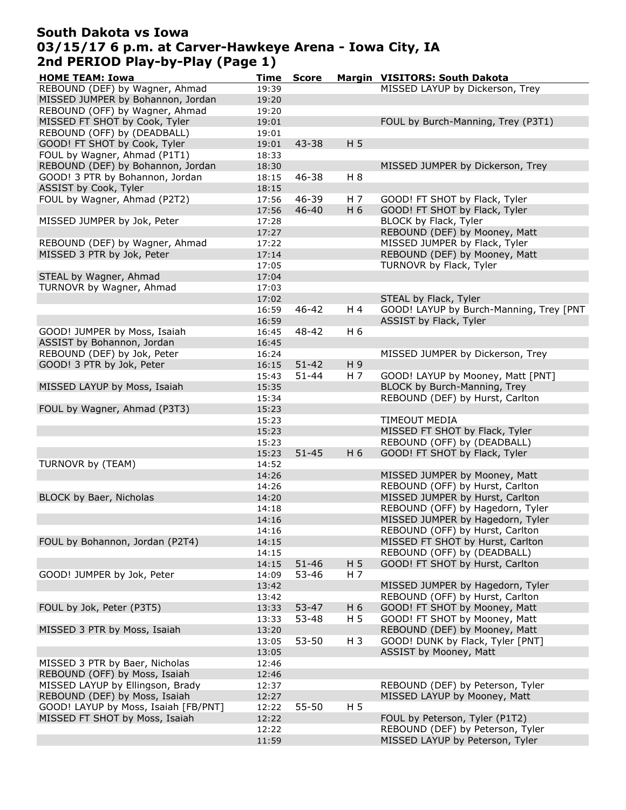# South Dakota vs Iowa 03/15/17 6 p.m. at Carver-Hawkeye Arena - Iowa City, IA 2nd PERIOD Play-by-Play (Page 1)

| <b>HOME TEAM: Iowa</b>               | <b>Time</b> | <b>Score</b> |                | Margin VISITORS: South Dakota           |
|--------------------------------------|-------------|--------------|----------------|-----------------------------------------|
| REBOUND (DEF) by Wagner, Ahmad       | 19:39       |              |                | MISSED LAYUP by Dickerson, Trey         |
| MISSED JUMPER by Bohannon, Jordan    | 19:20       |              |                |                                         |
| REBOUND (OFF) by Wagner, Ahmad       | 19:20       |              |                |                                         |
| MISSED FT SHOT by Cook, Tyler        | 19:01       |              |                | FOUL by Burch-Manning, Trey (P3T1)      |
| REBOUND (OFF) by (DEADBALL)          | 19:01       |              |                |                                         |
| GOOD! FT SHOT by Cook, Tyler         | 19:01       | 43-38        | H <sub>5</sub> |                                         |
| FOUL by Wagner, Ahmad (P1T1)         | 18:33       |              |                |                                         |
| REBOUND (DEF) by Bohannon, Jordan    | 18:30       |              |                | MISSED JUMPER by Dickerson, Trey        |
| GOOD! 3 PTR by Bohannon, Jordan      | 18:15       | 46-38        | H 8            |                                         |
| ASSIST by Cook, Tyler                | 18:15       |              |                |                                         |
| FOUL by Wagner, Ahmad (P2T2)         | 17:56       | 46-39        | H 7            | GOOD! FT SHOT by Flack, Tyler           |
|                                      | 17:56       | $46 - 40$    | H 6            | GOOD! FT SHOT by Flack, Tyler           |
| MISSED JUMPER by Jok, Peter          | 17:28       |              |                | BLOCK by Flack, Tyler                   |
|                                      | 17:27       |              |                | REBOUND (DEF) by Mooney, Matt           |
| REBOUND (DEF) by Wagner, Ahmad       | 17:22       |              |                | MISSED JUMPER by Flack, Tyler           |
| MISSED 3 PTR by Jok, Peter           | 17:14       |              |                | REBOUND (DEF) by Mooney, Matt           |
|                                      | 17:05       |              |                | TURNOVR by Flack, Tyler                 |
| STEAL by Wagner, Ahmad               | 17:04       |              |                |                                         |
| TURNOVR by Wagner, Ahmad             | 17:03       |              |                |                                         |
|                                      | 17:02       |              |                | STEAL by Flack, Tyler                   |
|                                      | 16:59       | 46-42        | H 4            | GOOD! LAYUP by Burch-Manning, Trey [PNT |
|                                      | 16:59       |              |                | ASSIST by Flack, Tyler                  |
| GOOD! JUMPER by Moss, Isaiah         | 16:45       | 48-42        | H 6            |                                         |
| ASSIST by Bohannon, Jordan           | 16:45       |              |                |                                         |
| REBOUND (DEF) by Jok, Peter          | 16:24       |              |                | MISSED JUMPER by Dickerson, Trey        |
| GOOD! 3 PTR by Jok, Peter            | 16:15       | $51 - 42$    | H 9            |                                         |
|                                      | 15:43       | $51 - 44$    | H 7            | GOOD! LAYUP by Mooney, Matt [PNT]       |
| MISSED LAYUP by Moss, Isaiah         | 15:35       |              |                | BLOCK by Burch-Manning, Trey            |
|                                      | 15:34       |              |                | REBOUND (DEF) by Hurst, Carlton         |
| FOUL by Wagner, Ahmad (P3T3)         | 15:23       |              |                |                                         |
|                                      | 15:23       |              |                | TIMEOUT MEDIA                           |
|                                      | 15:23       |              |                | MISSED FT SHOT by Flack, Tyler          |
|                                      | 15:23       |              |                | REBOUND (OFF) by (DEADBALL)             |
|                                      | 15:23       | $51 - 45$    | H 6            | GOOD! FT SHOT by Flack, Tyler           |
| TURNOVR by (TEAM)                    | 14:52       |              |                |                                         |
|                                      | 14:26       |              |                | MISSED JUMPER by Mooney, Matt           |
|                                      | 14:26       |              |                | REBOUND (OFF) by Hurst, Carlton         |
| BLOCK by Baer, Nicholas              | 14:20       |              |                | MISSED JUMPER by Hurst, Carlton         |
|                                      | 14:18       |              |                | REBOUND (OFF) by Hagedorn, Tyler        |
|                                      | 14:16       |              |                | MISSED JUMPER by Hagedorn, Tyler        |
|                                      | 14:16       |              |                | REBOUND (OFF) by Hurst, Carlton         |
| FOUL by Bohannon, Jordan (P2T4)      | 14:15       |              |                | MISSED FT SHOT by Hurst, Carlton        |
|                                      | 14:15       |              |                | REBOUND (OFF) by (DEADBALL)             |
|                                      | 14:15       | $51 - 46$    | H <sub>5</sub> | GOOD! FT SHOT by Hurst, Carlton         |
| GOOD! JUMPER by Jok, Peter           | 14:09       | 53-46        | H 7            |                                         |
|                                      | 13:42       |              |                | MISSED JUMPER by Hagedorn, Tyler        |
|                                      | 13:42       |              |                | REBOUND (OFF) by Hurst, Carlton         |
| FOUL by Jok, Peter (P3T5)            | 13:33       | $53 - 47$    | H 6            | GOOD! FT SHOT by Mooney, Matt           |
|                                      | 13:33       | 53-48        | H <sub>5</sub> | GOOD! FT SHOT by Mooney, Matt           |
| MISSED 3 PTR by Moss, Isaiah         | 13:20       |              |                | REBOUND (DEF) by Mooney, Matt           |
|                                      | 13:05       | 53-50        | $H_3$          | GOOD! DUNK by Flack, Tyler [PNT]        |
|                                      | 13:05       |              |                | ASSIST by Mooney, Matt                  |
| MISSED 3 PTR by Baer, Nicholas       | 12:46       |              |                |                                         |
| REBOUND (OFF) by Moss, Isaiah        | 12:46       |              |                |                                         |
| MISSED LAYUP by Ellingson, Brady     | 12:37       |              |                | REBOUND (DEF) by Peterson, Tyler        |
| REBOUND (DEF) by Moss, Isaiah        | 12:27       |              |                | MISSED LAYUP by Mooney, Matt            |
| GOOD! LAYUP by Moss, Isaiah [FB/PNT] | 12:22       | 55-50        | H 5            |                                         |
| MISSED FT SHOT by Moss, Isaiah       | 12:22       |              |                | FOUL by Peterson, Tyler (P1T2)          |
|                                      | 12:22       |              |                | REBOUND (DEF) by Peterson, Tyler        |
|                                      | 11:59       |              |                | MISSED LAYUP by Peterson, Tyler         |
|                                      |             |              |                |                                         |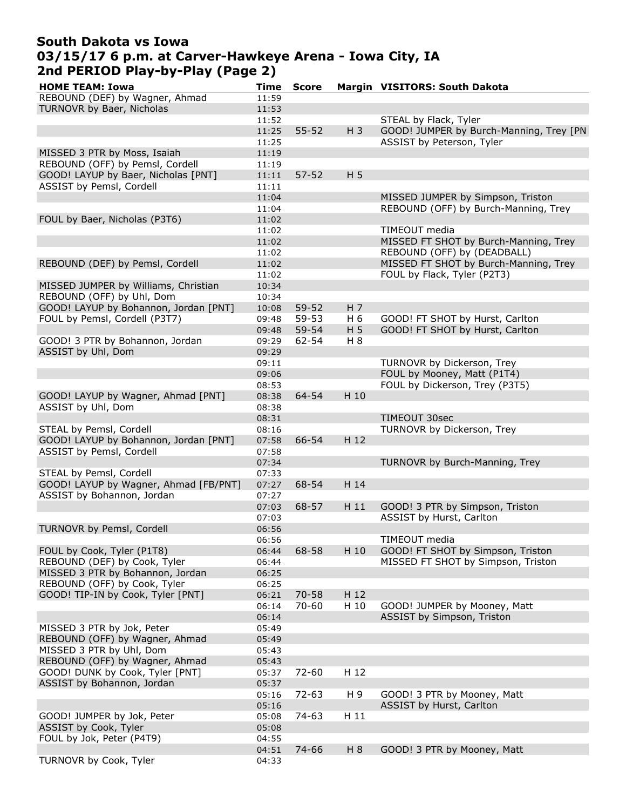## South Dakota vs Iowa 03/15/17 6 p.m. at Carver-Hawkeye Arena - Iowa City, IA 2nd PERIOD Play-by-Play (Page 2)

| <b>HOME TEAM: Iowa</b>                | Time  | <b>Score</b> |       | Margin VISITORS: South Dakota           |
|---------------------------------------|-------|--------------|-------|-----------------------------------------|
| REBOUND (DEF) by Wagner, Ahmad        | 11:59 |              |       |                                         |
| TURNOVR by Baer, Nicholas             | 11:53 |              |       |                                         |
|                                       | 11:52 |              |       | STEAL by Flack, Tyler                   |
|                                       | 11:25 | $55 - 52$    | $H_3$ | GOOD! JUMPER by Burch-Manning, Trey [PN |
|                                       | 11:25 |              |       | ASSIST by Peterson, Tyler               |
| MISSED 3 PTR by Moss, Isaiah          | 11:19 |              |       |                                         |
| REBOUND (OFF) by Pemsl, Cordell       | 11:19 |              |       |                                         |
| GOOD! LAYUP by Baer, Nicholas [PNT]   | 11:11 | $57 - 52$    | H 5   |                                         |
| ASSIST by Pemsl, Cordell              | 11:11 |              |       |                                         |
|                                       | 11:04 |              |       | MISSED JUMPER by Simpson, Triston       |
|                                       | 11:04 |              |       | REBOUND (OFF) by Burch-Manning, Trey    |
| FOUL by Baer, Nicholas (P3T6)         | 11:02 |              |       |                                         |
|                                       | 11:02 |              |       | TIMEOUT media                           |
|                                       | 11:02 |              |       | MISSED FT SHOT by Burch-Manning, Trey   |
|                                       | 11:02 |              |       | REBOUND (OFF) by (DEADBALL)             |
| REBOUND (DEF) by Pemsl, Cordell       | 11:02 |              |       | MISSED FT SHOT by Burch-Manning, Trey   |
|                                       | 11:02 |              |       | FOUL by Flack, Tyler (P2T3)             |
| MISSED JUMPER by Williams, Christian  | 10:34 |              |       |                                         |
| REBOUND (OFF) by Uhl, Dom             | 10:34 |              |       |                                         |
| GOOD! LAYUP by Bohannon, Jordan [PNT] | 10:08 | 59-52        | H 7   |                                         |
| FOUL by Pemsl, Cordell (P3T7)         | 09:48 | 59-53        | H 6   | GOOD! FT SHOT by Hurst, Carlton         |
|                                       |       |              |       |                                         |
|                                       | 09:48 | 59-54        | H 5   | GOOD! FT SHOT by Hurst, Carlton         |
| GOOD! 3 PTR by Bohannon, Jordan       | 09:29 | 62-54        | H 8   |                                         |
| ASSIST by Uhl, Dom                    | 09:29 |              |       |                                         |
|                                       | 09:11 |              |       | TURNOVR by Dickerson, Trey              |
|                                       | 09:06 |              |       | FOUL by Mooney, Matt (P1T4)             |
|                                       | 08:53 |              |       | FOUL by Dickerson, Trey (P3T5)          |
| GOOD! LAYUP by Wagner, Ahmad [PNT]    | 08:38 | 64-54        | H 10  |                                         |
| ASSIST by Uhl, Dom                    | 08:38 |              |       |                                         |
|                                       | 08:31 |              |       | TIMEOUT 30sec                           |
| STEAL by Pemsl, Cordell               | 08:16 |              |       | TURNOVR by Dickerson, Trey              |
| GOOD! LAYUP by Bohannon, Jordan [PNT] | 07:58 | 66-54        | H 12  |                                         |
| ASSIST by Pemsl, Cordell              | 07:58 |              |       |                                         |
|                                       | 07:34 |              |       | TURNOVR by Burch-Manning, Trey          |
| STEAL by Pemsl, Cordell               | 07:33 |              |       |                                         |
| GOOD! LAYUP by Wagner, Ahmad [FB/PNT] | 07:27 | 68-54        | H 14  |                                         |
| ASSIST by Bohannon, Jordan            | 07:27 |              |       |                                         |
|                                       | 07:03 | 68-57        | H 11  | GOOD! 3 PTR by Simpson, Triston         |
|                                       | 07:03 |              |       | ASSIST by Hurst, Carlton                |
| TURNOVR by Pemsl, Cordell             | 06:56 |              |       |                                         |
|                                       | 06:56 |              |       | TIMEOUT media                           |
| FOUL by Cook, Tyler (P1T8)            | 06:44 | 68-58        | H 10  | GOOD! FT SHOT by Simpson, Triston       |
| REBOUND (DEF) by Cook, Tyler          | 06:44 |              |       | MISSED FT SHOT by Simpson, Triston      |
| MISSED 3 PTR by Bohannon, Jordan      | 06:25 |              |       |                                         |
| REBOUND (OFF) by Cook, Tyler          | 06:25 |              |       |                                         |
| GOOD! TIP-IN by Cook, Tyler [PNT]     | 06:21 | $70 - 58$    | H 12  |                                         |
|                                       | 06:14 | 70-60        | H 10  | GOOD! JUMPER by Mooney, Matt            |
|                                       | 06:14 |              |       | ASSIST by Simpson, Triston              |
| MISSED 3 PTR by Jok, Peter            | 05:49 |              |       |                                         |
| REBOUND (OFF) by Wagner, Ahmad        | 05:49 |              |       |                                         |
| MISSED 3 PTR by Uhl, Dom              | 05:43 |              |       |                                         |
| REBOUND (OFF) by Wagner, Ahmad        | 05:43 |              |       |                                         |
| GOOD! DUNK by Cook, Tyler [PNT]       | 05:37 | 72-60        | H 12  |                                         |
| ASSIST by Bohannon, Jordan            | 05:37 |              |       |                                         |
|                                       | 05:16 | 72-63        | H 9   | GOOD! 3 PTR by Mooney, Matt             |
|                                       | 05:16 |              |       | ASSIST by Hurst, Carlton                |
| GOOD! JUMPER by Jok, Peter            | 05:08 | 74-63        | H 11  |                                         |
| ASSIST by Cook, Tyler                 | 05:08 |              |       |                                         |
| FOUL by Jok, Peter (P4T9)             | 04:55 |              |       |                                         |
|                                       | 04:51 | 74-66        | $H_8$ | GOOD! 3 PTR by Mooney, Matt             |
| TURNOVR by Cook, Tyler                | 04:33 |              |       |                                         |
|                                       |       |              |       |                                         |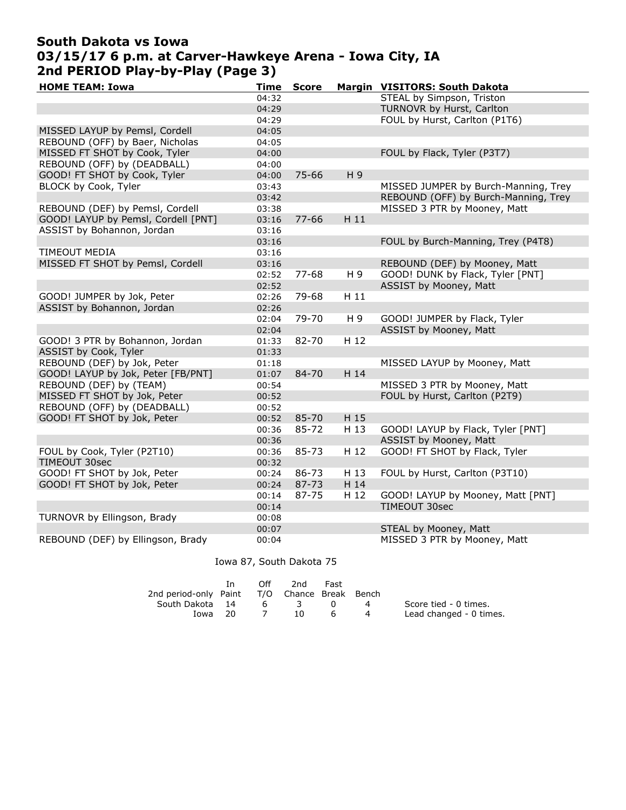# South Dakota vs Iowa 03/15/17 6 p.m. at Carver-Hawkeye Arena - Iowa City, IA 2nd PERIOD Play-by-Play (Page 3)

| <b>HOME TEAM: Iowa</b>              | <b>Time</b> | <b>Score</b> |                | Margin VISITORS: South Dakota        |
|-------------------------------------|-------------|--------------|----------------|--------------------------------------|
|                                     | 04:32       |              |                | STEAL by Simpson, Triston            |
|                                     | 04:29       |              |                | TURNOVR by Hurst, Carlton            |
|                                     | 04:29       |              |                | FOUL by Hurst, Carlton (P1T6)        |
| MISSED LAYUP by Pemsl, Cordell      | 04:05       |              |                |                                      |
| REBOUND (OFF) by Baer, Nicholas     | 04:05       |              |                |                                      |
| MISSED FT SHOT by Cook, Tyler       | 04:00       |              |                | FOUL by Flack, Tyler (P3T7)          |
| REBOUND (OFF) by (DEADBALL)         | 04:00       |              |                |                                      |
| GOOD! FT SHOT by Cook, Tyler        | 04:00       | 75-66        | H <sub>9</sub> |                                      |
| BLOCK by Cook, Tyler                | 03:43       |              |                | MISSED JUMPER by Burch-Manning, Trey |
|                                     | 03:42       |              |                | REBOUND (OFF) by Burch-Manning, Trey |
| REBOUND (DEF) by Pemsl, Cordell     | 03:38       |              |                | MISSED 3 PTR by Mooney, Matt         |
| GOOD! LAYUP by Pemsl, Cordell [PNT] | 03:16       | $77 - 66$    | H11            |                                      |
| ASSIST by Bohannon, Jordan          | 03:16       |              |                |                                      |
|                                     | 03:16       |              |                | FOUL by Burch-Manning, Trey (P4T8)   |
| TIMEOUT MEDIA                       | 03:16       |              |                |                                      |
| MISSED FT SHOT by Pemsl, Cordell    | 03:16       |              |                | REBOUND (DEF) by Mooney, Matt        |
|                                     | 02:52       | 77-68        | H 9            | GOOD! DUNK by Flack, Tyler [PNT]     |
|                                     | 02:52       |              |                | ASSIST by Mooney, Matt               |
| GOOD! JUMPER by Jok, Peter          | 02:26       | 79-68        | H 11           |                                      |
| ASSIST by Bohannon, Jordan          | 02:26       |              |                |                                      |
|                                     | 02:04       | 79-70        | H 9            | GOOD! JUMPER by Flack, Tyler         |
|                                     | 02:04       |              |                | ASSIST by Mooney, Matt               |
| GOOD! 3 PTR by Bohannon, Jordan     | 01:33       | 82-70        | H 12           |                                      |
| ASSIST by Cook, Tyler               | 01:33       |              |                |                                      |
| REBOUND (DEF) by Jok, Peter         | 01:18       |              |                | MISSED LAYUP by Mooney, Matt         |
| GOOD! LAYUP by Jok, Peter [FB/PNT]  | 01:07       | 84-70        | H 14           |                                      |
| REBOUND (DEF) by (TEAM)             | 00:54       |              |                | MISSED 3 PTR by Mooney, Matt         |
| MISSED FT SHOT by Jok, Peter        | 00:52       |              |                | FOUL by Hurst, Carlton (P2T9)        |
| REBOUND (OFF) by (DEADBALL)         | 00:52       |              |                |                                      |
| GOOD! FT SHOT by Jok, Peter         | 00:52       | 85-70        | H 15           |                                      |
|                                     | 00:36       | 85-72        | H 13           | GOOD! LAYUP by Flack, Tyler [PNT]    |
|                                     | 00:36       |              |                | ASSIST by Mooney, Matt               |
| FOUL by Cook, Tyler (P2T10)         | 00:36       | 85-73        | H 12           | GOOD! FT SHOT by Flack, Tyler        |
| TIMEOUT 30sec                       | 00:32       |              |                |                                      |
| GOOD! FT SHOT by Jok, Peter         | 00:24       | 86-73        | H 13           | FOUL by Hurst, Carlton (P3T10)       |
| GOOD! FT SHOT by Jok, Peter         | 00:24       | 87-73        | H 14           |                                      |
|                                     | 00:14       | 87-75        | H 12           | GOOD! LAYUP by Mooney, Matt [PNT]    |
|                                     | 00:14       |              |                | TIMEOUT 30sec                        |
| TURNOVR by Ellingson, Brady         | 00:08       |              |                |                                      |
|                                     | 00:07       |              |                | STEAL by Mooney, Matt                |
| REBOUND (DEF) by Ellingson, Brady   | 00:04       |              |                | MISSED 3 PTR by Mooney, Matt         |

Iowa 87, South Dakota 75

|                                              | Tn. | Off            | 2nd           | Fast     |                |                         |
|----------------------------------------------|-----|----------------|---------------|----------|----------------|-------------------------|
| 2nd period-only Paint T/O Chance Break Bench |     |                |               |          |                |                         |
| South Dakota 14                              |     | 6 <sup>6</sup> | $\mathcal{R}$ |          | $\overline{a}$ | Score tied - 0 times.   |
| Iowa 20                                      |     |                | 10.           | <b>6</b> |                | Lead changed - 0 times. |